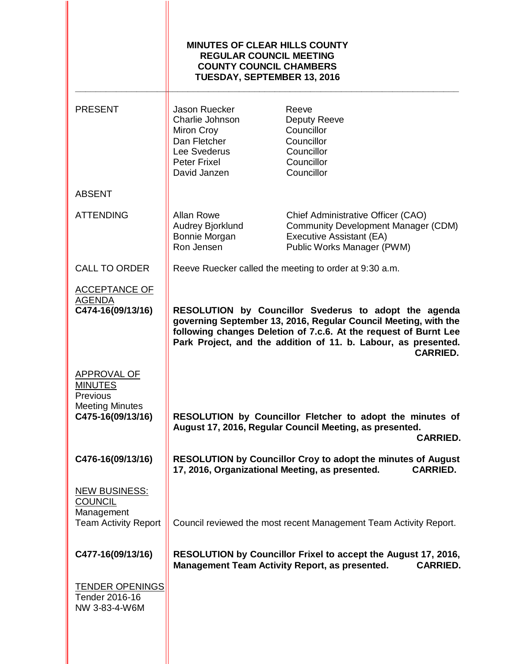|                                                                                                 | <b>MINUTES OF CLEAR HILLS COUNTY</b><br><b>REGULAR COUNCIL MEETING</b><br><b>COUNTY COUNCIL CHAMBERS</b><br><b>TUESDAY, SEPTEMBER 13, 2016</b> |                                                                                                                                                                                                                                                                                   |
|-------------------------------------------------------------------------------------------------|------------------------------------------------------------------------------------------------------------------------------------------------|-----------------------------------------------------------------------------------------------------------------------------------------------------------------------------------------------------------------------------------------------------------------------------------|
| <b>PRESENT</b>                                                                                  | Jason Ruecker<br>Charlie Johnson<br>Miron Croy<br>Dan Fletcher<br>Lee Svederus<br>Peter Frixel<br>David Janzen                                 | Reeve<br>Deputy Reeve<br>Councillor<br>Councillor<br>Councillor<br>Councillor<br>Councillor                                                                                                                                                                                       |
| <b>ABSENT</b>                                                                                   |                                                                                                                                                |                                                                                                                                                                                                                                                                                   |
| <b>ATTENDING</b>                                                                                | <b>Allan Rowe</b><br>Audrey Bjorklund<br>Bonnie Morgan<br>Ron Jensen                                                                           | Chief Administrative Officer (CAO)<br><b>Community Development Manager (CDM)</b><br>Executive Assistant (EA)<br>Public Works Manager (PWM)                                                                                                                                        |
| <b>CALL TO ORDER</b>                                                                            |                                                                                                                                                | Reeve Ruecker called the meeting to order at 9:30 a.m.                                                                                                                                                                                                                            |
| <b>ACCEPTANCE OF</b><br><b>AGENDA</b><br>C474-16(09/13/16)                                      |                                                                                                                                                | RESOLUTION by Councillor Svederus to adopt the agenda<br>governing September 13, 2016, Regular Council Meeting, with the<br>following changes Deletion of 7.c.6. At the request of Burnt Lee<br>Park Project, and the addition of 11. b. Labour, as presented.<br><b>CARRIED.</b> |
| <b>APPROVAL OF</b><br><b>MINUTES</b><br>Previous<br><b>Meeting Minutes</b><br>C475-16(09/13/16) |                                                                                                                                                | RESOLUTION by Councillor Fletcher to adopt the minutes of<br>August 17, 2016, Regular Council Meeting, as presented.<br><b>CARRIED.</b>                                                                                                                                           |
| C476-16(09/13/16)                                                                               | 17, 2016, Organizational Meeting, as presented.                                                                                                | RESOLUTION by Councillor Croy to adopt the minutes of August<br><b>CARRIED.</b>                                                                                                                                                                                                   |
| <b>NEW BUSINESS:</b><br><b>COUNCIL</b><br>Management<br><b>Team Activity Report</b>             |                                                                                                                                                | Council reviewed the most recent Management Team Activity Report.                                                                                                                                                                                                                 |
| C477-16(09/13/16)                                                                               |                                                                                                                                                | RESOLUTION by Councillor Frixel to accept the August 17, 2016,<br><b>Management Team Activity Report, as presented.</b><br><b>CARRIED.</b>                                                                                                                                        |
| <b>TENDER OPENINGS</b><br>Tender 2016-16<br>NW 3-83-4-W6M                                       |                                                                                                                                                |                                                                                                                                                                                                                                                                                   |
|                                                                                                 |                                                                                                                                                |                                                                                                                                                                                                                                                                                   |

II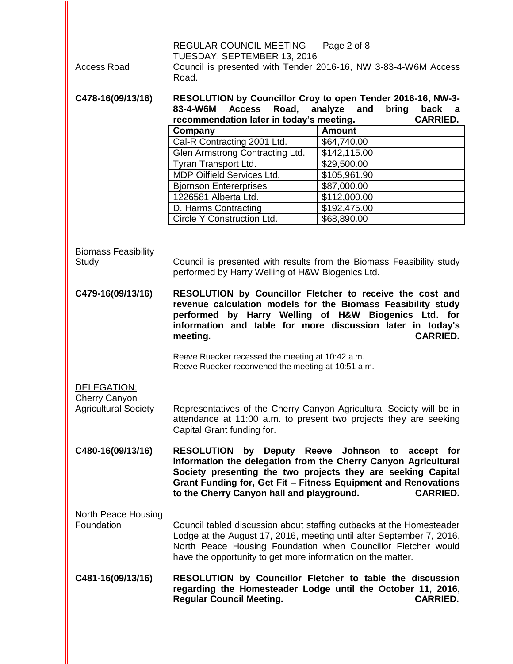|                                                                    | REGULAR COUNCIL MEETING<br>TUESDAY, SEPTEMBER 13, 2016                                                                                    | Page 2 of 8                                                                                                                                                                                                                                                             |
|--------------------------------------------------------------------|-------------------------------------------------------------------------------------------------------------------------------------------|-------------------------------------------------------------------------------------------------------------------------------------------------------------------------------------------------------------------------------------------------------------------------|
| <b>Access Road</b>                                                 | Road.                                                                                                                                     | Council is presented with Tender 2016-16, NW 3-83-4-W6M Access                                                                                                                                                                                                          |
| C478-16(09/13/16)                                                  | RESOLUTION by Councillor Croy to open Tender 2016-16, NW-3-<br>83-4-W6M<br>Road,<br><b>Access</b><br>analyze<br>and<br>bring<br>back<br>a |                                                                                                                                                                                                                                                                         |
|                                                                    | recommendation later in today's meeting.                                                                                                  | <b>CARRIED.</b>                                                                                                                                                                                                                                                         |
|                                                                    | Company                                                                                                                                   | <b>Amount</b>                                                                                                                                                                                                                                                           |
|                                                                    | Cal-R Contracting 2001 Ltd.                                                                                                               | \$64,740.00                                                                                                                                                                                                                                                             |
|                                                                    | Glen Armstrong Contracting Ltd.                                                                                                           | \$142,115.00                                                                                                                                                                                                                                                            |
|                                                                    | Tyran Transport Ltd.                                                                                                                      | \$29,500.00                                                                                                                                                                                                                                                             |
|                                                                    | <b>MDP Oilfield Services Ltd.</b>                                                                                                         | \$105,961.90                                                                                                                                                                                                                                                            |
|                                                                    | <b>Bjornson Entererprises</b>                                                                                                             | \$87,000.00                                                                                                                                                                                                                                                             |
|                                                                    | 1226581 Alberta Ltd.                                                                                                                      | \$112,000.00                                                                                                                                                                                                                                                            |
|                                                                    | D. Harms Contracting                                                                                                                      | \$192,475.00                                                                                                                                                                                                                                                            |
|                                                                    | Circle Y Construction Ltd.                                                                                                                | \$68,890.00                                                                                                                                                                                                                                                             |
| <b>Biomass Feasibility</b><br>Study                                | performed by Harry Welling of H&W Biogenics Ltd.                                                                                          | Council is presented with results from the Biomass Feasibility study                                                                                                                                                                                                    |
| C479-16(09/13/16)                                                  | meeting.<br>Reeve Ruecker recessed the meeting at 10:42 a.m.                                                                              | RESOLUTION by Councillor Fletcher to receive the cost and<br>revenue calculation models for the Biomass Feasibility study<br>performed by Harry Welling of H&W Biogenics Ltd. for<br>information and table for more discussion later in today's<br><b>CARRIED.</b>      |
| DELEGATION:<br><b>Cherry Canyon</b><br><b>Agricultural Society</b> | Reeve Ruecker reconvened the meeting at 10:51 a.m.<br>Capital Grant funding for.                                                          | Representatives of the Cherry Canyon Agricultural Society will be in<br>attendance at 11:00 a.m. to present two projects they are seeking                                                                                                                               |
| C480-16(09/13/16)                                                  | to the Cherry Canyon hall and playground.                                                                                                 | RESOLUTION by Deputy Reeve Johnson to accept for<br>information the delegation from the Cherry Canyon Agricultural<br>Society presenting the two projects they are seeking Capital<br>Grant Funding for, Get Fit - Fitness Equipment and Renovations<br><b>CARRIED.</b> |
| North Peace Housing<br>Foundation                                  | have the opportunity to get more information on the matter.                                                                               | Council tabled discussion about staffing cutbacks at the Homesteader<br>Lodge at the August 17, 2016, meeting until after September 7, 2016,<br>North Peace Housing Foundation when Councillor Fletcher would                                                           |
| C481-16(09/13/16)                                                  | <b>Regular Council Meeting.</b>                                                                                                           | RESOLUTION by Councillor Fletcher to table the discussion<br>regarding the Homesteader Lodge until the October 11, 2016,<br><b>CARRIED.</b>                                                                                                                             |
|                                                                    |                                                                                                                                           |                                                                                                                                                                                                                                                                         |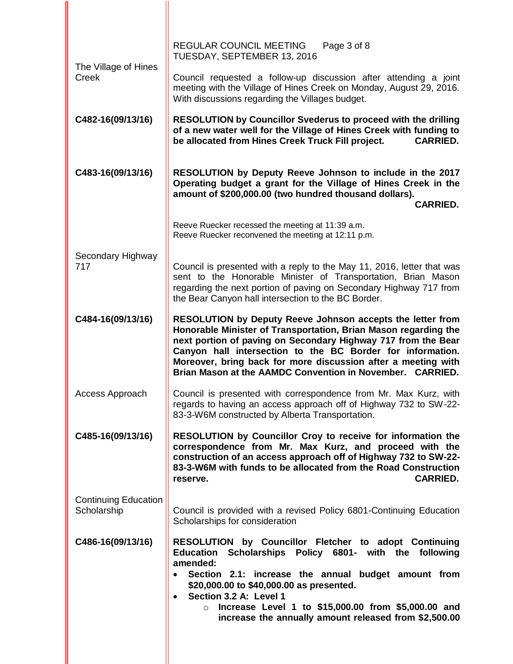| REGULAR COUNCIL MEETING<br>Page 3 of 8<br>TUESDAY, SEPTEMBER 13, 2016                                                                                                                                                                                                                                                                                                                                      |
|------------------------------------------------------------------------------------------------------------------------------------------------------------------------------------------------------------------------------------------------------------------------------------------------------------------------------------------------------------------------------------------------------------|
| Council requested a follow-up discussion after attending a joint<br>meeting with the Village of Hines Creek on Monday, August 29, 2016.<br>With discussions regarding the Villages budget.                                                                                                                                                                                                                 |
| <b>RESOLUTION by Councillor Svederus to proceed with the drilling</b><br>of a new water well for the Village of Hines Creek with funding to<br>be allocated from Hines Creek Truck Fill project.<br><b>CARRIED.</b>                                                                                                                                                                                        |
| RESOLUTION by Deputy Reeve Johnson to include in the 2017<br>Operating budget a grant for the Village of Hines Creek in the<br>amount of \$200,000.00 (two hundred thousand dollars).<br><b>CARRIED.</b>                                                                                                                                                                                                   |
| Reeve Ruecker recessed the meeting at 11:39 a.m.<br>Reeve Ruecker reconvened the meeting at 12:11 p.m.                                                                                                                                                                                                                                                                                                     |
| Council is presented with a reply to the May 11, 2016, letter that was<br>sent to the Honorable Minister of Transportation, Brian Mason<br>regarding the next portion of paving on Secondary Highway 717 from<br>the Bear Canyon hall intersection to the BC Border.                                                                                                                                       |
| RESOLUTION by Deputy Reeve Johnson accepts the letter from<br>Honorable Minister of Transportation, Brian Mason regarding the<br>next portion of paving on Secondary Highway 717 from the Bear<br>Canyon hall intersection to the BC Border for information.<br>Moreover, bring back for more discussion after a meeting with<br>Brian Mason at the AAMDC Convention in November.<br><b>CARRIED.</b>       |
| Council is presented with correspondence from Mr. Max Kurz, with<br>regards to having an access approach off of Highway 732 to SW-22-<br>83-3-W6M constructed by Alberta Transportation.                                                                                                                                                                                                                   |
| <b>RESOLUTION by Councillor Croy to receive for information the</b><br>correspondence from Mr. Max Kurz, and proceed with the<br>construction of an access approach off of Highway 732 to SW-22-<br>83-3-W6M with funds to be allocated from the Road Construction<br><b>CARRIED.</b><br>reserve.                                                                                                          |
| Council is provided with a revised Policy 6801-Continuing Education<br>Scholarships for consideration                                                                                                                                                                                                                                                                                                      |
| RESOLUTION by Councillor Fletcher to adopt Continuing<br>Scholarships Policy 6801- with the following<br><b>Education</b><br>amended:<br>Section 2.1: increase the annual budget amount from<br>\$20,000.00 to \$40,000.00 as presented.<br>Section 3.2 A: Level 1<br>$\bullet$<br>Increase Level 1 to \$15,000.00 from \$5,000.00 and<br>$\circ$<br>increase the annually amount released from \$2,500.00 |
|                                                                                                                                                                                                                                                                                                                                                                                                            |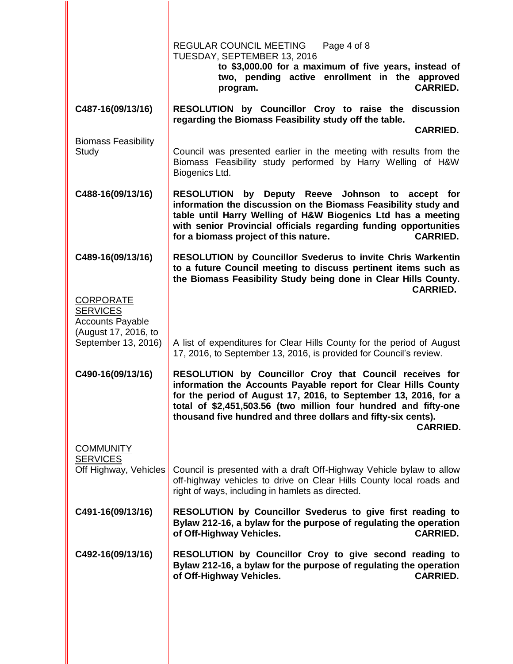|                                                                                        | REGULAR COUNCIL MEETING<br>Page 4 of 8<br>TUESDAY, SEPTEMBER 13, 2016<br>to \$3,000.00 for a maximum of five years, instead of                                                                                                                                                                                                                      |
|----------------------------------------------------------------------------------------|-----------------------------------------------------------------------------------------------------------------------------------------------------------------------------------------------------------------------------------------------------------------------------------------------------------------------------------------------------|
|                                                                                        | two, pending active enrollment in the approved<br><b>CARRIED.</b><br>program.                                                                                                                                                                                                                                                                       |
| C487-16(09/13/16)                                                                      | RESOLUTION by Councillor Croy to raise the discussion<br>regarding the Biomass Feasibility study off the table.<br><b>CARRIED.</b>                                                                                                                                                                                                                  |
| <b>Biomass Feasibility</b>                                                             |                                                                                                                                                                                                                                                                                                                                                     |
| Study                                                                                  | Council was presented earlier in the meeting with results from the<br>Biomass Feasibility study performed by Harry Welling of H&W<br>Biogenics Ltd.                                                                                                                                                                                                 |
| C488-16(09/13/16)                                                                      | RESOLUTION by Deputy Reeve Johnson to accept for<br>information the discussion on the Biomass Feasibility study and<br>table until Harry Welling of H&W Biogenics Ltd has a meeting<br>with senior Provincial officials regarding funding opportunities<br><b>CARRIED.</b><br>for a biomass project of this nature.                                 |
| C489-16(09/13/16)                                                                      | <b>RESOLUTION by Councillor Svederus to invite Chris Warkentin</b><br>to a future Council meeting to discuss pertinent items such as<br>the Biomass Feasibility Study being done in Clear Hills County.<br><b>CARRIED.</b>                                                                                                                          |
| <b>CORPORATE</b><br><b>SERVICES</b><br><b>Accounts Payable</b><br>(August 17, 2016, to |                                                                                                                                                                                                                                                                                                                                                     |
| September 13, 2016)                                                                    | A list of expenditures for Clear Hills County for the period of August<br>17, 2016, to September 13, 2016, is provided for Council's review.                                                                                                                                                                                                        |
| C490-16(09/13/16)                                                                      | RESOLUTION by Councillor Croy that Council receives for<br>information the Accounts Payable report for Clear Hills County<br>for the period of August 17, 2016, to September 13, 2016, for a<br>total of \$2,451,503.56 (two million four hundred and fifty-one<br>thousand five hundred and three dollars and fifty-six cents).<br><b>CARRIED.</b> |
| <b>COMMUNITY</b>                                                                       |                                                                                                                                                                                                                                                                                                                                                     |
| <b>SERVICES</b><br>Off Highway, Vehicles                                               | Council is presented with a draft Off-Highway Vehicle bylaw to allow<br>off-highway vehicles to drive on Clear Hills County local roads and<br>right of ways, including in hamlets as directed.                                                                                                                                                     |
| C491-16(09/13/16)                                                                      | RESOLUTION by Councillor Svederus to give first reading to<br>Bylaw 212-16, a bylaw for the purpose of regulating the operation<br>of Off-Highway Vehicles.<br><b>CARRIED.</b>                                                                                                                                                                      |
| C492-16(09/13/16)                                                                      | RESOLUTION by Councillor Croy to give second reading to<br>Bylaw 212-16, a bylaw for the purpose of regulating the operation<br>of Off-Highway Vehicles.<br><b>CARRIED.</b>                                                                                                                                                                         |
|                                                                                        |                                                                                                                                                                                                                                                                                                                                                     |

II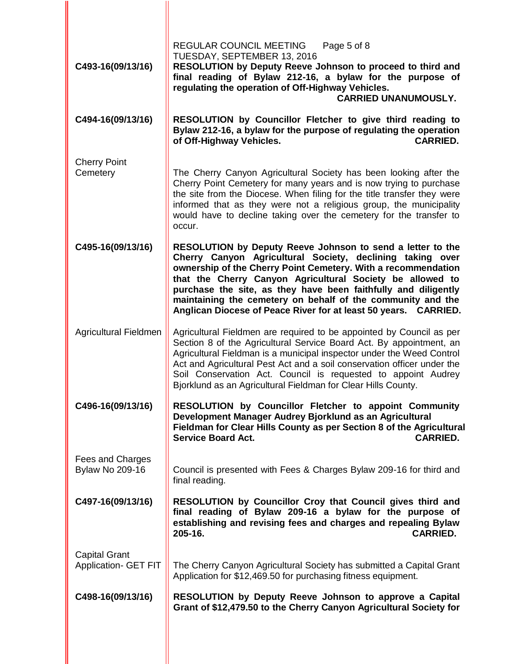| C493-16(09/13/16)                                   | REGULAR COUNCIL MEETING<br>Page 5 of 8<br>TUESDAY, SEPTEMBER 13, 2016<br>RESOLUTION by Deputy Reeve Johnson to proceed to third and<br>final reading of Bylaw 212-16, a bylaw for the purpose of<br>regulating the operation of Off-Highway Vehicles.<br><b>CARRIED UNANUMOUSLY.</b>                                                                                                                                                                      |
|-----------------------------------------------------|-----------------------------------------------------------------------------------------------------------------------------------------------------------------------------------------------------------------------------------------------------------------------------------------------------------------------------------------------------------------------------------------------------------------------------------------------------------|
| C494-16(09/13/16)                                   | RESOLUTION by Councillor Fletcher to give third reading to<br>Bylaw 212-16, a bylaw for the purpose of regulating the operation<br>of Off-Highway Vehicles.<br><b>CARRIED.</b>                                                                                                                                                                                                                                                                            |
| <b>Cherry Point</b><br>Cemetery                     | The Cherry Canyon Agricultural Society has been looking after the<br>Cherry Point Cemetery for many years and is now trying to purchase<br>the site from the Diocese. When filing for the title transfer they were<br>informed that as they were not a religious group, the municipality<br>would have to decline taking over the cemetery for the transfer to<br>occur.                                                                                  |
| C495-16(09/13/16)                                   | RESOLUTION by Deputy Reeve Johnson to send a letter to the<br>Cherry Canyon Agricultural Society, declining taking over<br>ownership of the Cherry Point Cemetery. With a recommendation<br>that the Cherry Canyon Agricultural Society be allowed to<br>purchase the site, as they have been faithfully and diligently<br>maintaining the cemetery on behalf of the community and the<br>Anglican Diocese of Peace River for at least 50 years. CARRIED. |
| Agricultural Fieldmen                               | Agricultural Fieldmen are required to be appointed by Council as per<br>Section 8 of the Agricultural Service Board Act. By appointment, an<br>Agricultural Fieldman is a municipal inspector under the Weed Control<br>Act and Agricultural Pest Act and a soil conservation officer under the<br>Soil Conservation Act. Council is requested to appoint Audrey<br>Bjorklund as an Agricultural Fieldman for Clear Hills County.                         |
| C496-16(09/13/16)                                   | RESOLUTION by Councillor Fletcher to appoint Community<br>Development Manager Audrey Bjorklund as an Agricultural<br>Fieldman for Clear Hills County as per Section 8 of the Agricultural<br><b>Service Board Act.</b><br><b>CARRIED.</b>                                                                                                                                                                                                                 |
| Fees and Charges<br><b>Bylaw No 209-16</b>          | Council is presented with Fees & Charges Bylaw 209-16 for third and<br>final reading.                                                                                                                                                                                                                                                                                                                                                                     |
| C497-16(09/13/16)                                   | RESOLUTION by Councillor Croy that Council gives third and<br>final reading of Bylaw 209-16 a bylaw for the purpose of<br>establishing and revising fees and charges and repealing Bylaw<br>205-16.<br><b>CARRIED.</b>                                                                                                                                                                                                                                    |
| <b>Capital Grant</b><br><b>Application- GET FIT</b> | The Cherry Canyon Agricultural Society has submitted a Capital Grant<br>Application for \$12,469.50 for purchasing fitness equipment.                                                                                                                                                                                                                                                                                                                     |
| C498-16(09/13/16)                                   | RESOLUTION by Deputy Reeve Johnson to approve a Capital<br>Grant of \$12,479.50 to the Cherry Canyon Agricultural Society for                                                                                                                                                                                                                                                                                                                             |
|                                                     |                                                                                                                                                                                                                                                                                                                                                                                                                                                           |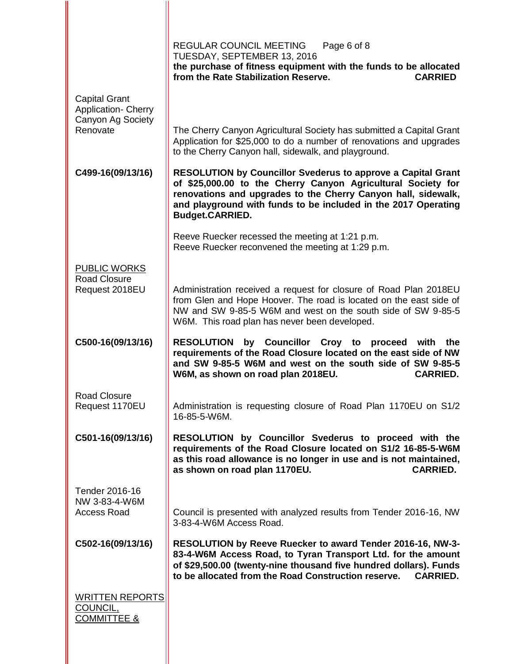|                                                                         | REGULAR COUNCIL MEETING<br>Page 6 of 8<br>TUESDAY, SEPTEMBER 13, 2016<br>the purchase of fitness equipment with the funds to be allocated<br>from the Rate Stabilization Reserve.<br><b>CARRIED</b>                                                                                       |
|-------------------------------------------------------------------------|-------------------------------------------------------------------------------------------------------------------------------------------------------------------------------------------------------------------------------------------------------------------------------------------|
| <b>Capital Grant</b><br><b>Application- Cherry</b><br>Canyon Ag Society |                                                                                                                                                                                                                                                                                           |
| Renovate                                                                | The Cherry Canyon Agricultural Society has submitted a Capital Grant<br>Application for \$25,000 to do a number of renovations and upgrades<br>to the Cherry Canyon hall, sidewalk, and playground.                                                                                       |
| C499-16(09/13/16)                                                       | <b>RESOLUTION by Councillor Svederus to approve a Capital Grant</b><br>of \$25,000.00 to the Cherry Canyon Agricultural Society for<br>renovations and upgrades to the Cherry Canyon hall, sidewalk,<br>and playground with funds to be included in the 2017 Operating<br>Budget.CARRIED. |
|                                                                         | Reeve Ruecker recessed the meeting at 1:21 p.m.<br>Reeve Ruecker reconvened the meeting at 1:29 p.m.                                                                                                                                                                                      |
| <b>PUBLIC WORKS</b><br><b>Road Closure</b>                              |                                                                                                                                                                                                                                                                                           |
| Request 2018EU                                                          | Administration received a request for closure of Road Plan 2018EU<br>from Glen and Hope Hoover. The road is located on the east side of<br>NW and SW 9-85-5 W6M and west on the south side of SW 9-85-5<br>W6M. This road plan has never been developed.                                  |
| C500-16(09/13/16)                                                       | <b>RESOLUTION by Councillor Croy to</b><br>proceed with<br>the<br>requirements of the Road Closure located on the east side of NW<br>and SW 9-85-5 W6M and west on the south side of SW 9-85-5<br><b>CARRIED.</b><br>W6M, as shown on road plan 2018EU.                                   |
| <b>Road Closure</b><br>Request 1170EU                                   | Administration is requesting closure of Road Plan 1170EU on S1/2<br>16-85-5-W6M.                                                                                                                                                                                                          |
| C501-16(09/13/16)                                                       | RESOLUTION by Councillor Svederus to proceed with the<br>requirements of the Road Closure located on S1/2 16-85-5-W6M<br>as this road allowance is no longer in use and is not maintained,<br>as shown on road plan 1170EU.<br><b>CARRIED.</b>                                            |
| Tender 2016-16<br>NW 3-83-4-W6M                                         |                                                                                                                                                                                                                                                                                           |
| <b>Access Road</b>                                                      | Council is presented with analyzed results from Tender 2016-16, NW<br>3-83-4-W6M Access Road.                                                                                                                                                                                             |
| C502-16(09/13/16)                                                       | RESOLUTION by Reeve Ruecker to award Tender 2016-16, NW-3-<br>83-4-W6M Access Road, to Tyran Transport Ltd. for the amount<br>of \$29,500.00 (twenty-nine thousand five hundred dollars). Funds<br>to be allocated from the Road Construction reserve.<br><b>CARRIED.</b>                 |
| <b>WRITTEN REPORTS</b><br>COUNCIL,<br><b>COMMITTEE &amp;</b>            |                                                                                                                                                                                                                                                                                           |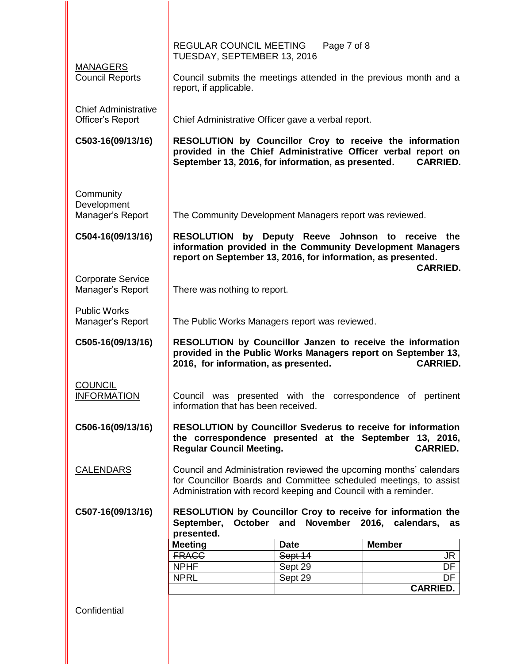|                                              | REGULAR COUNCIL MEETING                                                           | Page 7 of 8 |                                                                                                                                                   |
|----------------------------------------------|-----------------------------------------------------------------------------------|-------------|---------------------------------------------------------------------------------------------------------------------------------------------------|
| <b>MANAGERS</b>                              | TUESDAY, SEPTEMBER 13, 2016                                                       |             |                                                                                                                                                   |
| <b>Council Reports</b>                       | report, if applicable.                                                            |             | Council submits the meetings attended in the previous month and a                                                                                 |
| <b>Chief Administrative</b>                  |                                                                                   |             |                                                                                                                                                   |
| Officer's Report                             | Chief Administrative Officer gave a verbal report.                                |             |                                                                                                                                                   |
| C503-16(09/13/16)                            | September 13, 2016, for information, as presented.                                |             | RESOLUTION by Councillor Croy to receive the information<br>provided in the Chief Administrative Officer verbal report on<br><b>CARRIED.</b>      |
| Community                                    |                                                                                   |             |                                                                                                                                                   |
| Development                                  |                                                                                   |             |                                                                                                                                                   |
| Manager's Report                             | The Community Development Managers report was reviewed.                           |             |                                                                                                                                                   |
| C504-16(09/13/16)                            | <b>RESOLUTION</b><br>report on September 13, 2016, for information, as presented. |             | by Deputy Reeve Johnson to receive the<br>information provided in the Community Development Managers<br><b>CARRIED.</b>                           |
| <b>Corporate Service</b><br>Manager's Report | There was nothing to report.                                                      |             |                                                                                                                                                   |
| <b>Public Works</b><br>Manager's Report      | The Public Works Managers report was reviewed.                                    |             |                                                                                                                                                   |
| C505-16(09/13/16)                            | 2016, for information, as presented.                                              |             | RESOLUTION by Councillor Janzen to receive the information<br>provided in the Public Works Managers report on September 13,<br><b>CARRIED.</b>    |
| <b>COUNCIL</b><br><b>INFORMATION</b>         | information that has been received.                                               |             | Council was presented with the correspondence of pertinent                                                                                        |
| C506-16(09/13/16)                            | <b>Regular Council Meeting.</b>                                                   |             | <b>RESOLUTION by Councillor Svederus to receive for information</b><br>the correspondence presented at the September 13, 2016,<br><b>CARRIED.</b> |
| <b>CALENDARS</b>                             | Administration with record keeping and Council with a reminder.                   |             | Council and Administration reviewed the upcoming months' calendars<br>for Councillor Boards and Committee scheduled meetings, to assist           |
| C507-16(09/13/16)                            | September,<br>October                                                             | and         | RESOLUTION by Councillor Croy to receive for information the<br>November 2016, calendars,<br>as                                                   |
|                                              | presented.<br><b>Meeting</b>                                                      | <b>Date</b> | <b>Member</b>                                                                                                                                     |
|                                              | <b>FRACC</b>                                                                      | Sept 14     | JR                                                                                                                                                |
|                                              | <b>NPHF</b>                                                                       | Sept 29     | DF                                                                                                                                                |
|                                              | <b>NPRL</b>                                                                       | Sept 29     | DF                                                                                                                                                |
|                                              |                                                                                   |             | <b>CARRIED.</b>                                                                                                                                   |
| Confidential                                 |                                                                                   |             |                                                                                                                                                   |